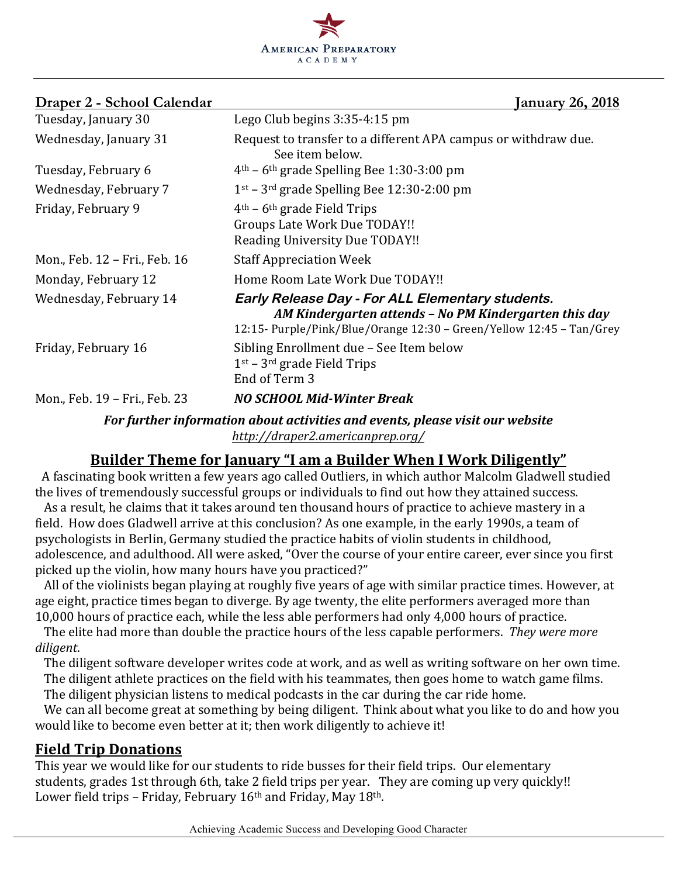

#### **Draper 2 - School Calendar January 26, 2018**

| Tuesday, January 30           | Lego Club begins 3:35-4:15 pm                                                                                                                                                     |
|-------------------------------|-----------------------------------------------------------------------------------------------------------------------------------------------------------------------------------|
| Wednesday, January 31         | Request to transfer to a different APA campus or withdraw due.<br>See item below.                                                                                                 |
| Tuesday, February 6           | $4th$ – 6 <sup>th</sup> grade Spelling Bee 1:30-3:00 pm                                                                                                                           |
| Wednesday, February 7         | $1st$ – 3 <sup>rd</sup> grade Spelling Bee 12:30-2:00 pm                                                                                                                          |
| Friday, February 9            | $4th$ – 6 <sup>th</sup> grade Field Trips<br>Groups Late Work Due TODAY!!<br>Reading University Due TODAY!!                                                                       |
| Mon., Feb. 12 - Fri., Feb. 16 | <b>Staff Appreciation Week</b>                                                                                                                                                    |
| Monday, February 12           | Home Room Late Work Due TODAY!!                                                                                                                                                   |
| Wednesday, February 14        | Early Release Day - For ALL Elementary students.<br>AM Kindergarten attends - No PM Kindergarten this day<br>12:15- Purple/Pink/Blue/Orange 12:30 - Green/Yellow 12:45 - Tan/Grey |
| Friday, February 16           | Sibling Enrollment due - See Item below<br>$1st$ – 3 <sup>rd</sup> grade Field Trips<br>End of Term 3                                                                             |
| Mon., Feb. 19 - Fri., Feb. 23 | <b>NO SCHOOL Mid-Winter Break</b>                                                                                                                                                 |
|                               |                                                                                                                                                                                   |

For further information about activities and events, please visit our website *http://draper2.americanprep.org/*

### Builder Theme for January "I am a Builder When I Work Diligently"

A fascinating book written a few years ago called Outliers, in which author Malcolm Gladwell studied the lives of tremendously successful groups or individuals to find out how they attained success.

As a result, he claims that it takes around ten thousand hours of practice to achieve mastery in a field. How does Gladwell arrive at this conclusion? As one example, in the early 1990s, a team of psychologists in Berlin, Germany studied the practice habits of violin students in childhood, adolescence, and adulthood. All were asked, "Over the course of your entire career, ever since you first picked up the violin, how many hours have you practiced?"

All of the violinists began playing at roughly five years of age with similar practice times. However, at age eight, practice times began to diverge. By age twenty, the elite performers averaged more than 10,000 hours of practice each, while the less able performers had only 4,000 hours of practice.

The elite had more than double the practice hours of the less capable performers. *They were more diligent*. 

The diligent software developer writes code at work, and as well as writing software on her own time. The diligent athlete practices on the field with his teammates, then goes home to watch game films.

The diligent physician listens to medical podcasts in the car during the car ride home.

We can all become great at something by being diligent. Think about what you like to do and how you would like to become even better at it; then work diligently to achieve it!

#### **Field Trip Donations**

This year we would like for our students to ride busses for their field trips. Our elementary students, grades 1st through 6th, take 2 field trips per year. They are coming up very quickly!! Lower field trips - Friday, February  $16<sup>th</sup>$  and Friday, May  $18<sup>th</sup>$ .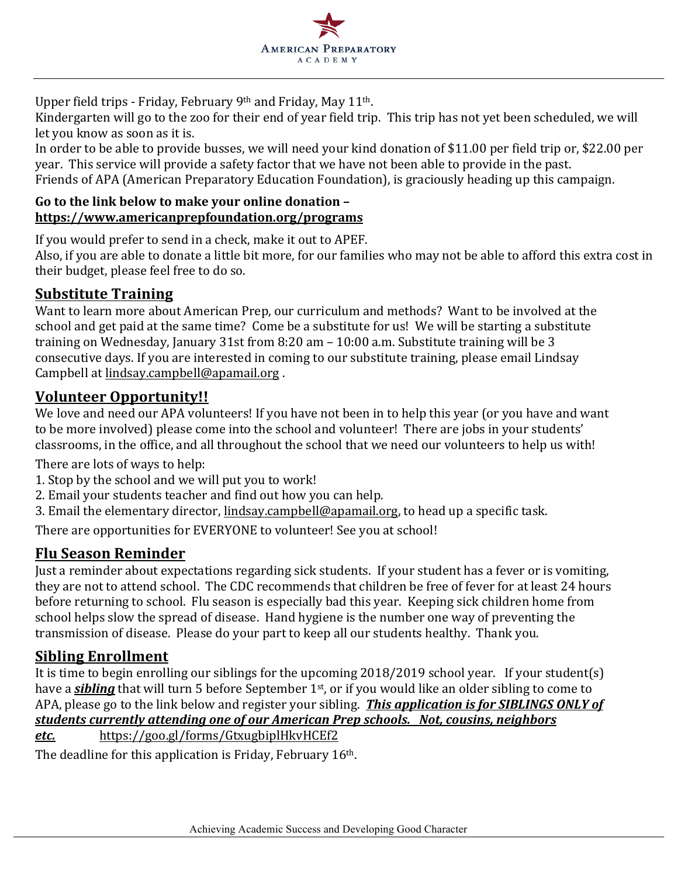

Upper field trips - Friday, February 9th and Friday, May 11th.

Kindergarten will go to the zoo for their end of year field trip. This trip has not yet been scheduled, we will let you know as soon as it is.

In order to be able to provide busses, we will need your kind donation of \$11.00 per field trip or, \$22.00 per year. This service will provide a safety factor that we have not been able to provide in the past. Friends of APA (American Preparatory Education Foundation), is graciously heading up this campaign.

#### Go to the link below to make your online donation **https://www.americanprepfoundation.org/programs**

If you would prefer to send in a check, make it out to APEF.

Also, if you are able to donate a little bit more, for our families who may not be able to afford this extra cost in their budget, please feel free to do so.

## **Substitute Training**

Want to learn more about American Prep, our curriculum and methods? Want to be involved at the school and get paid at the same time? Come be a substitute for us! We will be starting a substitute training on Wednesday, January 31st from 8:20 am  $- 10:00$  a.m. Substitute training will be 3 consecutive days. If you are interested in coming to our substitute training, please email Lindsay Campbell at lindsay.campbell@apamail.org.

### **Volunteer Opportunity!!**

We love and need our APA volunteers! If you have not been in to help this year (or you have and want to be more involved) please come into the school and volunteer! There are jobs in your students' classrooms, in the office, and all throughout the school that we need our volunteers to help us with!

There are lots of ways to help:

- 1. Stop by the school and we will put you to work!
- 2. Email your students teacher and find out how you can help.
- 3. Email the elementary director, lindsay.campbell@apamail.org, to head up a specific task.

There are opportunities for EVERYONE to volunteer! See you at school!

## **Flu Season Reminder**

Just a reminder about expectations regarding sick students. If your student has a fever or is vomiting, they are not to attend school. The CDC recommends that children be free of fever for at least 24 hours before returning to school. Flu season is especially bad this year. Keeping sick children home from school helps slow the spread of disease. Hand hygiene is the number one way of preventing the transmission of disease. Please do your part to keep all our students healthy. Thank you.

## **Sibling Enrollment**

It is time to begin enrolling our siblings for the upcoming  $2018/2019$  school year. If your student(s) have a *sibling* that will turn 5 before September 1<sup>st</sup>, or if you would like an older sibling to come to APA, please go to the link below and register your sibling. This application is for SIBLINGS ONLY of *students currently attending one of our American Prep schools. Not, cousins, neighbors etc.* https://goo.gl/forms/GtxugbiplHkvHCEf2

The deadline for this application is Friday, February  $16<sup>th</sup>$ .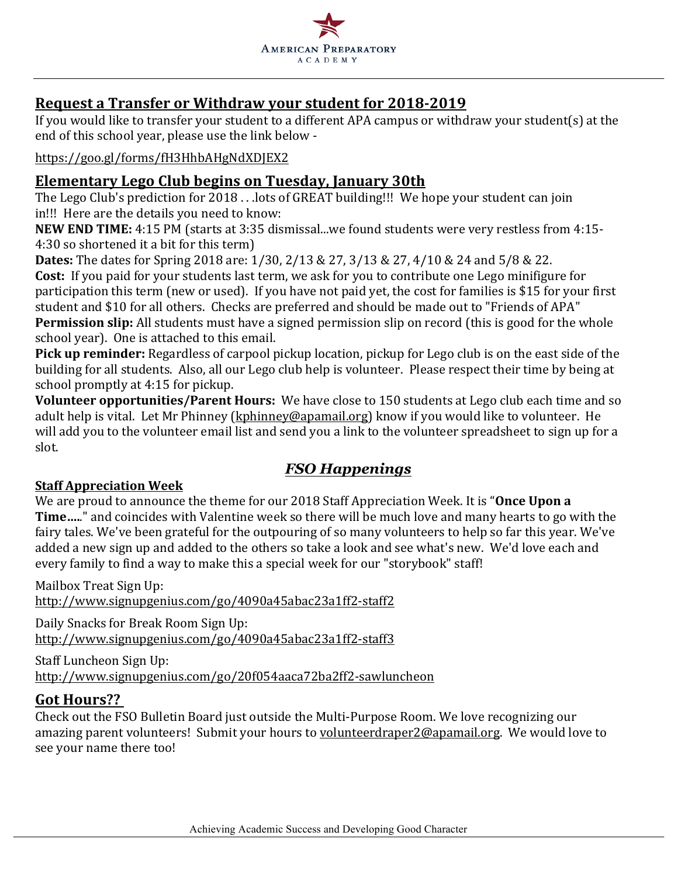

## **Request a Transfer or Withdraw your student for 2018-2019**

If you would like to transfer your student to a different APA campus or withdraw your student(s) at the end of this school year, please use the link below -

#### https://goo.gl/forms/fH3HhbAHgNdXDJEX2

#### **Elementary Lego Club begins on Tuesday, January 30th**

The Lego Club's prediction for  $2018$ ... lots of GREAT building!!! We hope your student can join in!!! Here are the details you need to know:

NEW END TIME: 4:15 PM (starts at 3:35 dismissal...we found students were very restless from 4:15-4:30 so shortened it a bit for this term)

**Dates:** The dates for Spring 2018 are: 1/30, 2/13 & 27, 3/13 & 27, 4/10 & 24 and 5/8 & 22. **Cost:** If you paid for your students last term, we ask for you to contribute one Lego minifigure for participation this term (new or used). If you have not paid yet, the cost for families is \$15 for your first student and \$10 for all others. Checks are preferred and should be made out to "Friends of APA" **Permission slip:** All students must have a signed permission slip on record (this is good for the whole school year). One is attached to this email.

Pick up reminder: Regardless of carpool pickup location, pickup for Lego club is on the east side of the building for all students. Also, all our Lego club help is volunteer. Please respect their time by being at school promptly at 4:15 for pickup.

**Volunteer opportunities/Parent Hours:** We have close to 150 students at Lego club each time and so adult help is vital. Let Mr Phinney (kphinney@apamail.org) know if you would like to volunteer. He will add you to the volunteer email list and send you a link to the volunteer spreadsheet to sign up for a slot.

## *FSO Happenings*

#### **Staff Appreciation Week**

We are proud to announce the theme for our 2018 Staff Appreciation Week. It is "Once Upon a **Time.....**" and coincides with Valentine week so there will be much love and many hearts to go with the fairy tales. We've been grateful for the outpouring of so many volunteers to help so far this year. We've added a new sign up and added to the others so take a look and see what's new. We'd love each and every family to find a way to make this a special week for our "storybook" staff!

Mailbox Treat Sign Up: http://www.signupgenius.com/go/4090a45abac23a1ff2-staff2

Daily Snacks for Break Room Sign Up: http://www.signupgenius.com/go/4090a45abac23a1ff2-staff3

Staff Luncheon Sign Up: http://www.signupgenius.com/go/20f054aaca72ba2ff2-sawluncheon

### **Got Hours??**

Check out the FSO Bulletin Board just outside the Multi-Purpose Room. We love recognizing our amazing parent volunteers! Submit your hours to volunteerdraper2@apamail.org. We would love to see your name there too!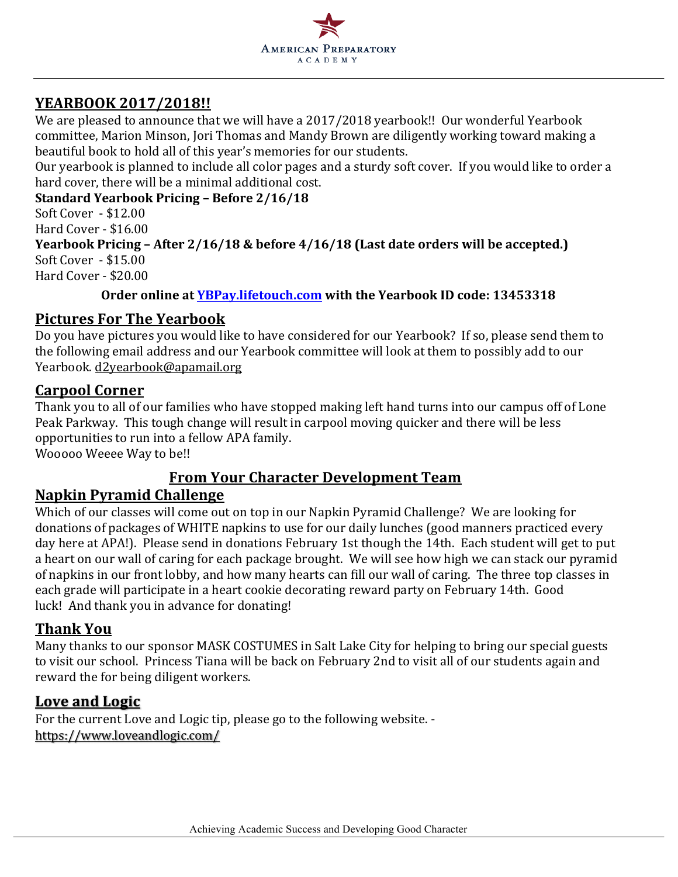

## **YEARBOOK 2017/2018!!**

We are pleased to announce that we will have a 2017/2018 yearbook!! Our wonderful Yearbook committee, Marion Minson, Jori Thomas and Mandy Brown are diligently working toward making a beautiful book to hold all of this year's memories for our students.

Our yearbook is planned to include all color pages and a sturdy soft cover. If you would like to order a hard cover, there will be a minimal additional cost.

**Standard Yearbook Pricing – Before 2/16/18**

Soft Cover - \$12.00

Hard Cover - \$16.00

**Yearbook Pricing – After 2/16/18 & before 4/16/18 (Last date orders will be accepted.)** Soft Cover - \$15.00 Hard Cover - \$20.00

#### **Order online at YBPay.lifetouch.com** with the Yearbook ID code: 13453318

## **Pictures For The Yearbook**

Do you have pictures you would like to have considered for our Yearbook? If so, please send them to the following email address and our Yearbook committee will look at them to possibly add to our Yearbook. d2yearbook@apamail.org

### **Carpool Corner**

Thank you to all of our families who have stopped making left hand turns into our campus off of Lone Peak Parkway. This tough change will result in carpool moving quicker and there will be less opportunities to run into a fellow APA family.

Wooooo Weeee Way to be!!

## **From Your Character Development Team**

## **Napkin Pyramid Challenge**

Which of our classes will come out on top in our Napkin Pyramid Challenge? We are looking for donations of packages of WHITE napkins to use for our daily lunches (good manners practiced every day here at APA!). Please send in donations February 1st though the 14th. Each student will get to put a heart on our wall of caring for each package brought. We will see how high we can stack our pyramid of napkins in our front lobby, and how many hearts can fill our wall of caring. The three top classes in each grade will participate in a heart cookie decorating reward party on February 14th. Good luck! And thank you in advance for donating!

### **Thank You**

Many thanks to our sponsor MASK COSTUMES in Salt Lake City for helping to bring our special guests to visit our school. Princess Tiana will be back on February 2nd to visit all of our students again and reward the for being diligent workers.

### **Love and Logic**

For the current Love and Logic tip, please go to the following website. https://www.loveandlogic.com/